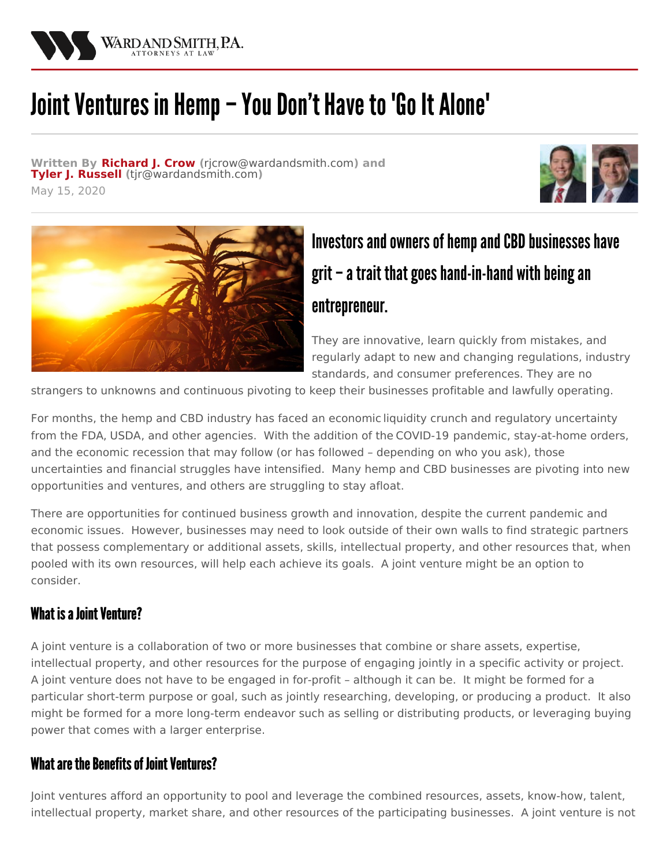

# Joint Ventures in Hemp – You Don't Have to 'Go It Alone'

**Written By [Richard](/attorneys/richard-j-crow) J. Crow (**[rjcrow@wardandsmith.com](mailto:rjcrow@wardandsmith.com)**) and Tyler J. [Russell](/attorneys/tyler-russell) (**[tjr@wardandsmith.com](mailto:tjr@wardandsmith.com)**)**

May 15, 2020





## Investors and owners of hemp and CBD businesses have grit – a trait that goes hand-in-hand with being an entrepreneur.

They are innovative, learn quickly from mistakes, and regularly adapt to new and changing regulations, industry standards, and consumer preferences. They are no

strangers to unknowns and continuous pivoting to keep their businesses profitable and lawfully operating.

For months, the hemp and CBD industry has faced an economic [liquidity](/articles/capital-raising-and-private-securities-offerings-for-hemp-and-cbd-companies) crunch and regulatory uncertainty from the [FDA](/articles/fda-issues-warnings-to-15-companies-for-illegally-selling-products-containing-cbd), [USDA](/articles/usda-establishes-national-domestic-hemp-production-program), and other agencies. With the addition of the [COVID-19](/articles/help-for-the-hemp-industry-in-the-covid-19-crisis) pandemic, stay-at-home orders, and the economic recession that may follow (or has followed – depending on who you ask), those uncertainties and financial struggles have intensified. Many hemp and CBD businesses are pivoting into new opportunities and ventures, and others are struggling to stay afloat.

There are opportunities for continued business growth and innovation, despite the current pandemic and economic issues. However, businesses may need to look outside of their own walls to find strategic partners that possess complementary or additional assets, skills, intellectual property, and other resources that, when pooled with its own resources, will help each achieve its goals. A joint venture might be an option to consider.

#### What is a Joint Venture?

A joint venture is a collaboration of two or more businesses that combine or share assets, expertise, intellectual property, and other resources for the purpose of engaging jointly in a specific activity or project. A joint venture does not have to be engaged in for-profit – although it can be. It might be formed for a particular short-term purpose or goal, such as jointly researching, developing, or producing a product. It also might be formed for a more long-term endeavor such as selling or distributing products, or leveraging buying power that comes with a larger enterprise.

#### What are the Benefits of Joint Ventures?

Joint ventures afford an opportunity to pool and leverage the combined resources, assets, know-how, talent, intellectual property, market share, and other resources of the participating businesses. A joint venture is not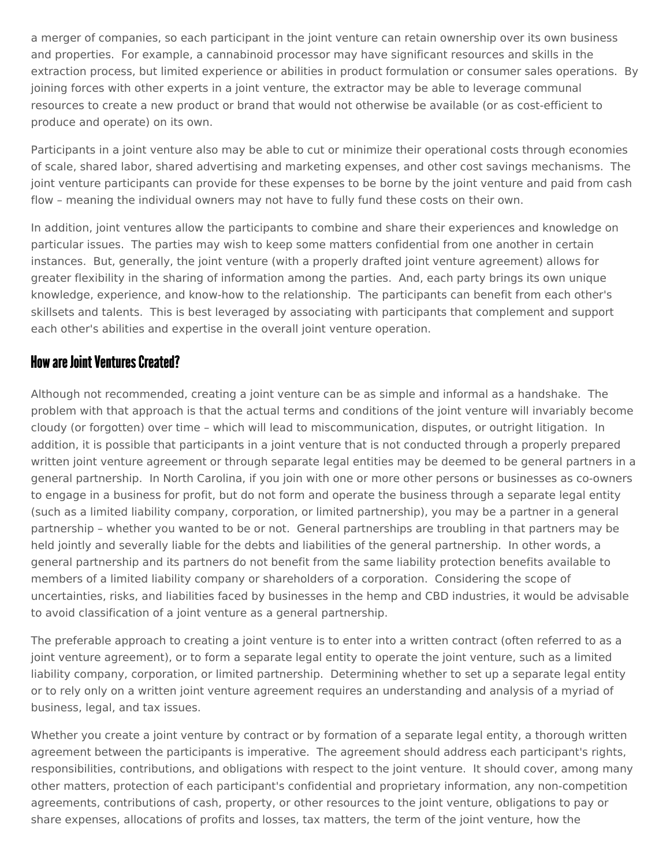a merger of companies, so each participant in the joint venture can retain ownership over its own business and properties. For example, a cannabinoid processor may have significant resources and skills in the extraction process, but limited experience or abilities in product formulation or consumer sales operations. By joining forces with other experts in a joint venture, the extractor may be able to leverage communal resources to create a new product or brand that would not otherwise be available (or as cost-efficient to produce and operate) on its own.

Participants in a joint venture also may be able to cut or minimize their operational costs through economies of scale, shared labor, shared advertising and marketing expenses, and other cost savings mechanisms. The joint venture participants can provide for these expenses to be borne by the joint venture and paid from cash flow – meaning the individual owners may not have to fully fund these costs on their own.

In addition, joint ventures allow the participants to combine and share their experiences and knowledge on particular issues. The parties may wish to keep some matters confidential from one another in certain instances. But, generally, the joint venture (with a properly drafted joint venture agreement) allows for greater flexibility in the sharing of information among the parties. And, each party brings its own unique knowledge, experience, and know-how to the relationship. The participants can benefit from each other's skillsets and talents. This is best leveraged by associating with participants that complement and support each other's abilities and expertise in the overall joint venture operation.

#### How are Joint Ventures Created?

Although not recommended, creating a joint venture can be as simple and informal as a handshake. The problem with that approach is that the actual terms and conditions of the joint venture will invariably become cloudy (or forgotten) over time – which will lead to miscommunication, disputes, or outright litigation. In addition, it is possible that participants in a joint venture that is not conducted through a properly prepared written joint venture agreement or through separate legal entities may be deemed to be general partners in a general partnership. In North Carolina, if you join with one or more other persons or businesses as co-owners to engage in a business for profit, but do not form and operate the business through a separate legal entity (such as a limited liability company, corporation, or limited partnership), you may be a partner in a general partnership – whether you wanted to be or not. General partnerships are troubling in that partners may be held jointly and severally liable for the debts and liabilities of the general partnership. In other words, a general partnership and its partners do not benefit from the same liability protection benefits available to members of a limited liability company or shareholders of a corporation. Considering the scope of uncertainties, risks, and liabilities faced by businesses in the hemp and CBD industries, it would be advisable to avoid classification of a joint venture as a general partnership.

The preferable approach to creating a joint venture is to enter into a written contract (often referred to as a joint venture agreement), or to form a separate legal entity to operate the joint venture, such as a limited liability company, corporation, or limited partnership. Determining whether to set up a separate legal entity or to rely only on a written joint venture agreement requires an understanding and analysis of a myriad of business, legal, and tax issues.

Whether you create a joint venture by contract or by formation of a separate legal entity, a thorough written agreement between the participants is imperative. The agreement should address each participant's rights, responsibilities, contributions, and obligations with respect to the joint venture. It should cover, among many other matters, protection of each participant's confidential and proprietary information, any non-competition agreements, contributions of cash, property, or other resources to the joint venture, obligations to pay or share expenses, allocations of profits and losses, tax matters, the term of the joint venture, how the